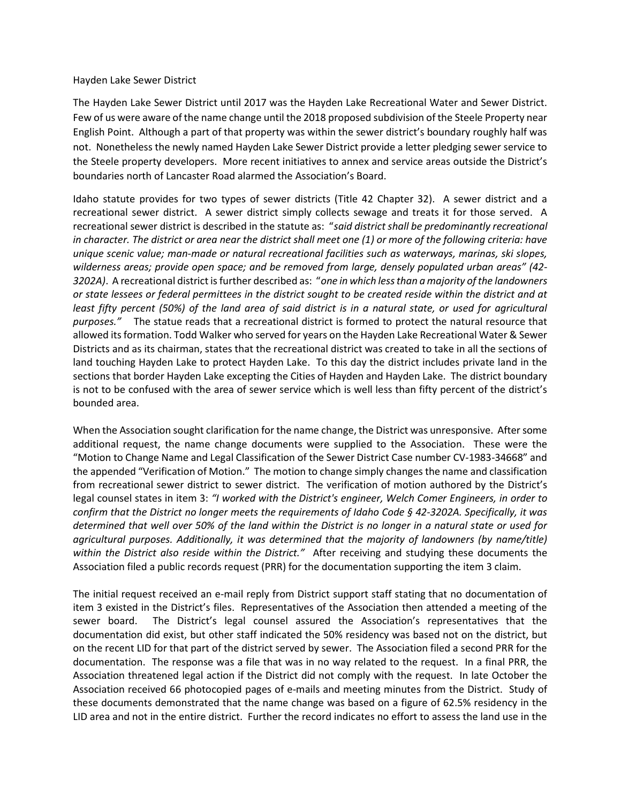## Hayden Lake Sewer District

The Hayden Lake Sewer District until 2017 was the Hayden Lake Recreational Water and Sewer District. Few of us were aware of the name change until the 2018 proposed subdivision of the Steele Property near English Point. Although a part of that property was within the sewer district's boundary roughly half was not. Nonetheless the newly named Hayden Lake Sewer District provide a letter pledging sewer service to the Steele property developers. More recent initiatives to annex and service areas outside the District's boundaries north of Lancaster Road alarmed the Association's Board.

Idaho statute provides for two types of sewer districts (Title 42 Chapter 32). A sewer district and a recreational sewer district. A sewer district simply collects sewage and treats it for those served. A recreational sewer district is described in the statute as: "said district shall be predominantly recreational in character. The district or area near the district shall meet one (1) or more of the following criteria: have unique scenic value; man-made or natural recreational facilities such as waterways, marinas, ski slopes, wilderness areas; provide open space; and be removed from large, densely populated urban areas" (42- 3202A). A recreational district is further described as: "one in which less than a majority of the landowners or state lessees or federal permittees in the district sought to be created reside within the district and at least fifty percent (50%) of the land area of said district is in a natural state, or used for agricultural purposes." The statue reads that a recreational district is formed to protect the natural resource that allowed its formation. Todd Walker who served for years on the Hayden Lake Recreational Water & Sewer Districts and as its chairman, states that the recreational district was created to take in all the sections of land touching Hayden Lake to protect Hayden Lake. To this day the district includes private land in the sections that border Hayden Lake excepting the Cities of Hayden and Hayden Lake. The district boundary is not to be confused with the area of sewer service which is well less than fifty percent of the district's bounded area.

When the Association sought clarification for the name change, the District was unresponsive. After some additional request, the name change documents were supplied to the Association. These were the "Motion to Change Name and Legal Classification of the Sewer District Case number CV-1983-34668" and the appended "Verification of Motion." The motion to change simply changes the name and classification from recreational sewer district to sewer district. The verification of motion authored by the District's legal counsel states in item 3: "I worked with the District's engineer, Welch Comer Engineers, in order to confirm that the District no longer meets the requirements of Idaho Code § 42-3202A. Specifically, it was determined that well over 50% of the land within the District is no longer in a natural state or used for agricultural purposes. Additionally, it was determined that the majority of landowners (by name/title) within the District also reside within the District." After receiving and studying these documents the Association filed a public records request (PRR) for the documentation supporting the item 3 claim.

The initial request received an e-mail reply from District support staff stating that no documentation of item 3 existed in the District's files. Representatives of the Association then attended a meeting of the sewer board. The District's legal counsel assured the Association's representatives that the documentation did exist, but other staff indicated the 50% residency was based not on the district, but on the recent LID for that part of the district served by sewer. The Association filed a second PRR for the documentation. The response was a file that was in no way related to the request. In a final PRR, the Association threatened legal action if the District did not comply with the request. In late October the Association received 66 photocopied pages of e-mails and meeting minutes from the District. Study of these documents demonstrated that the name change was based on a figure of 62.5% residency in the LID area and not in the entire district. Further the record indicates no effort to assess the land use in the